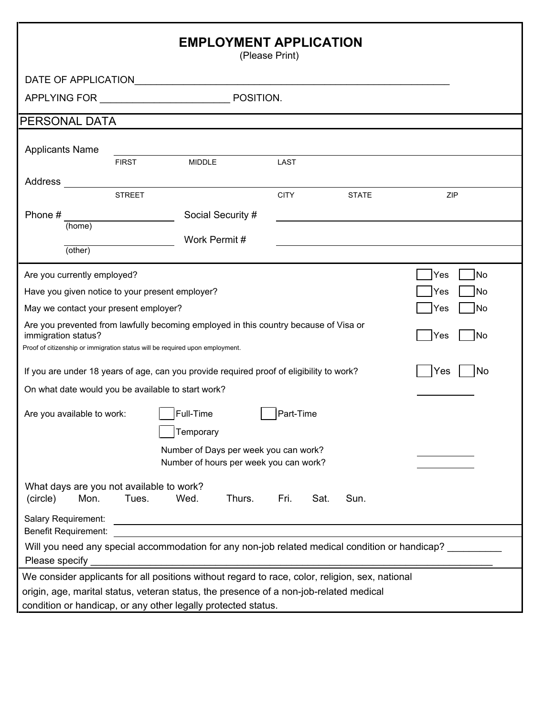| <b>EMPLOYMENT APPLICATION</b><br>(Please Print)                                                                                                                                             |               |                                                                                 |           |             |      |              |     |           |
|---------------------------------------------------------------------------------------------------------------------------------------------------------------------------------------------|---------------|---------------------------------------------------------------------------------|-----------|-------------|------|--------------|-----|-----------|
| DATE OF APPLICATION AND THE STATE OF APPLICATION                                                                                                                                            |               |                                                                                 |           |             |      |              |     |           |
| APPLYING FOR                                                                                                                                                                                |               |                                                                                 | POSITION. |             |      |              |     |           |
| PERSONAL DATA                                                                                                                                                                               |               |                                                                                 |           |             |      |              |     |           |
| <b>Applicants Name</b>                                                                                                                                                                      |               |                                                                                 |           |             |      |              |     |           |
|                                                                                                                                                                                             | <b>FIRST</b>  | <b>MIDDLE</b>                                                                   |           | LAST        |      |              |     |           |
| Address                                                                                                                                                                                     | <b>STREET</b> |                                                                                 |           | <b>CITY</b> |      | <b>STATE</b> |     | ZIP       |
| Phone#                                                                                                                                                                                      |               | Social Security #                                                               |           |             |      |              |     |           |
| (home)                                                                                                                                                                                      |               |                                                                                 |           |             |      |              |     |           |
| (other)                                                                                                                                                                                     |               | Work Permit#                                                                    |           |             |      |              |     |           |
|                                                                                                                                                                                             |               |                                                                                 |           |             |      |              |     |           |
| Are you currently employed?                                                                                                                                                                 |               |                                                                                 |           |             |      |              | Yes | <b>No</b> |
| Have you given notice to your present employer?                                                                                                                                             |               |                                                                                 |           |             |      |              | Yes | <b>No</b> |
| May we contact your present employer?                                                                                                                                                       |               |                                                                                 |           |             |      |              | Yes | <b>No</b> |
| Are you prevented from lawfully becoming employed in this country because of Visa or<br>immigration status?<br>Proof of citizenship or immigration status will be required upon employment. |               |                                                                                 |           |             |      |              | Yes | <b>No</b> |
| If you are under 18 years of age, can you provide required proof of eligibility to work?                                                                                                    |               |                                                                                 |           |             |      |              | Yes | <b>No</b> |
| On what date would you be available to start work?                                                                                                                                          |               |                                                                                 |           |             |      |              |     |           |
| Are you available to work:                                                                                                                                                                  |               | Full-Time<br>Temporary                                                          |           | Part-Time   |      |              |     |           |
|                                                                                                                                                                                             |               | Number of Days per week you can work?<br>Number of hours per week you can work? |           |             |      |              |     |           |
| What days are you not available to work?<br>(circle)<br>Mon.                                                                                                                                | Tues.         | Wed.                                                                            | Thurs.    | Fri.        | Sat. | Sun.         |     |           |
| Salary Requirement:<br><b>Benefit Requirement:</b>                                                                                                                                          |               |                                                                                 |           |             |      |              |     |           |
| Will you need any special accommodation for any non-job related medical condition or handicap?<br>Please specify                                                                            |               |                                                                                 |           |             |      |              |     |           |
| We consider applicants for all positions without regard to race, color, religion, sex, national                                                                                             |               |                                                                                 |           |             |      |              |     |           |
| origin, age, marital status, veteran status, the presence of a non-job-related medical<br>condition or handicap, or any other legally protected status.                                     |               |                                                                                 |           |             |      |              |     |           |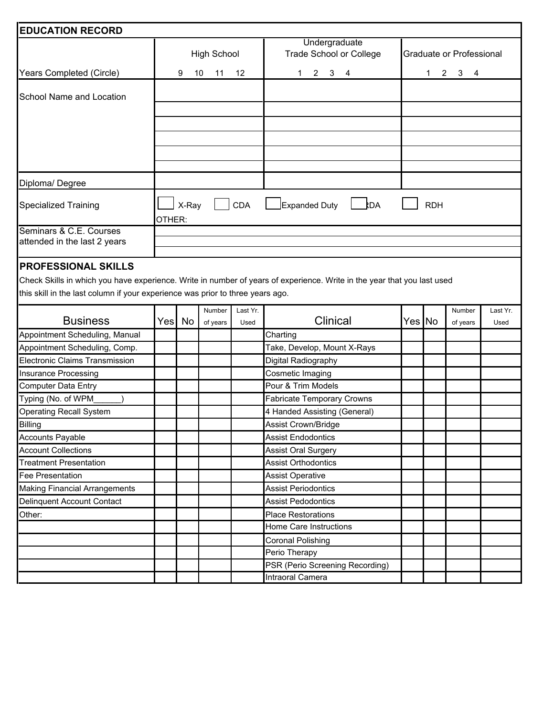| <b>EDUCATION RECORD</b>                                                    |                               |                                                                                  |                                                              |  |  |
|----------------------------------------------------------------------------|-------------------------------|----------------------------------------------------------------------------------|--------------------------------------------------------------|--|--|
| <b>High School</b><br>Years Completed (Circle)<br>9<br>10<br>$12 \,$<br>11 |                               | Undergraduate<br><b>Trade School or College</b><br>3 <sub>4</sub><br>$2^{\circ}$ | Graduate or Professional<br>$3 \quad 4$<br>$2^{\circ}$<br>1. |  |  |
| School Name and Location                                                   |                               |                                                                                  |                                                              |  |  |
|                                                                            |                               |                                                                                  |                                                              |  |  |
|                                                                            |                               |                                                                                  |                                                              |  |  |
|                                                                            |                               |                                                                                  |                                                              |  |  |
|                                                                            |                               |                                                                                  |                                                              |  |  |
|                                                                            |                               |                                                                                  |                                                              |  |  |
| Diploma/Degree                                                             |                               |                                                                                  |                                                              |  |  |
| Specialized Training                                                       | <b>CDA</b><br>X-Ray<br>OTHER: | Expanded Duty<br><b>RDA</b>                                                      | <b>RDH</b>                                                   |  |  |
| Seminars & C.E. Courses                                                    |                               |                                                                                  |                                                              |  |  |
| attended in the last 2 years                                               |                               |                                                                                  |                                                              |  |  |
|                                                                            |                               |                                                                                  |                                                              |  |  |

## **PROFESSIONAL SKILLS**

Check Skills in which you have experience. Write in number of years of experience. Write in the year that you last used this skill in the last column if your experience was prior to three years ago.

|                                      |  |            | Number   | Last Yr. |                                   |        | Number   | Last Yr. |
|--------------------------------------|--|------------|----------|----------|-----------------------------------|--------|----------|----------|
| <b>Business</b>                      |  | Yesl<br>No | of years | Used     | Clinical                          | Yes No | of years | Used     |
| Appointment Scheduling, Manual       |  |            |          |          | Charting                          |        |          |          |
| Appointment Scheduling, Comp.        |  |            |          |          | Take, Develop, Mount X-Rays       |        |          |          |
| Electronic Claims Transmission       |  |            |          |          | Digital Radiography               |        |          |          |
| <b>Insurance Processing</b>          |  |            |          |          | Cosmetic Imaging                  |        |          |          |
| <b>Computer Data Entry</b>           |  |            |          |          | Pour & Trim Models                |        |          |          |
| Typing (No. of WPM                   |  |            |          |          | <b>Fabricate Temporary Crowns</b> |        |          |          |
| <b>Operating Recall System</b>       |  |            |          |          | 4 Handed Assisting (General)      |        |          |          |
| <b>Billing</b>                       |  |            |          |          | <b>Assist Crown/Bridge</b>        |        |          |          |
| <b>Accounts Payable</b>              |  |            |          |          | <b>Assist Endodontics</b>         |        |          |          |
| <b>Account Collections</b>           |  |            |          |          | <b>Assist Oral Surgery</b>        |        |          |          |
| <b>Treatment Presentation</b>        |  |            |          |          | <b>Assist Orthodontics</b>        |        |          |          |
| <b>Fee Presentation</b>              |  |            |          |          | <b>Assist Operative</b>           |        |          |          |
| <b>Making Financial Arrangements</b> |  |            |          |          | <b>Assist Periodontics</b>        |        |          |          |
| Delinquent Account Contact           |  |            |          |          | <b>Assist Pedodontics</b>         |        |          |          |
| Other:                               |  |            |          |          | <b>Place Restorations</b>         |        |          |          |
|                                      |  |            |          |          | Home Care Instructions            |        |          |          |
|                                      |  |            |          |          | <b>Coronal Polishing</b>          |        |          |          |
|                                      |  |            |          |          | Perio Therapy                     |        |          |          |
|                                      |  |            |          |          | PSR (Perio Screening Recording)   |        |          |          |
|                                      |  |            |          |          | Intraoral Camera                  |        |          |          |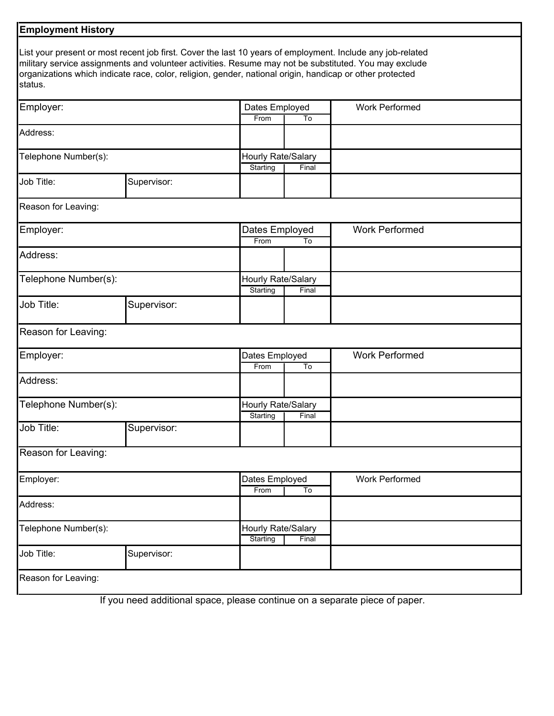| <b>Employment History</b> |                                                                                                                                                                                                                   |                    |       |                                                                                                            |  |
|---------------------------|-------------------------------------------------------------------------------------------------------------------------------------------------------------------------------------------------------------------|--------------------|-------|------------------------------------------------------------------------------------------------------------|--|
| status.                   | military service assignments and volunteer activities. Resume may not be substituted. You may exclude<br>organizations which indicate race, color, religion, gender, national origin, handicap or other protected |                    |       | List your present or most recent job first. Cover the last 10 years of employment. Include any job-related |  |
| Employer:                 |                                                                                                                                                                                                                   | Dates Employed     |       | <b>Work Performed</b>                                                                                      |  |
|                           |                                                                                                                                                                                                                   | From               | To    |                                                                                                            |  |
| Address:                  |                                                                                                                                                                                                                   |                    |       |                                                                                                            |  |
| Telephone Number(s):      |                                                                                                                                                                                                                   | Hourly Rate/Salary |       |                                                                                                            |  |
|                           |                                                                                                                                                                                                                   | Starting           | Final |                                                                                                            |  |
| Job Title:                | Supervisor:                                                                                                                                                                                                       |                    |       |                                                                                                            |  |
| Reason for Leaving:       |                                                                                                                                                                                                                   |                    |       |                                                                                                            |  |
| Employer:                 |                                                                                                                                                                                                                   | Dates Employed     |       | <b>Work Performed</b>                                                                                      |  |
|                           |                                                                                                                                                                                                                   | From               | To    |                                                                                                            |  |
| Address:                  |                                                                                                                                                                                                                   |                    |       |                                                                                                            |  |
| Telephone Number(s):      |                                                                                                                                                                                                                   | Hourly Rate/Salary |       |                                                                                                            |  |
|                           |                                                                                                                                                                                                                   | Starting           | Final |                                                                                                            |  |
| Job Title:                | Supervisor:                                                                                                                                                                                                       |                    |       |                                                                                                            |  |
| Reason for Leaving:       |                                                                                                                                                                                                                   |                    |       |                                                                                                            |  |
| Employer:                 |                                                                                                                                                                                                                   | Dates Employed     |       | <b>Work Performed</b>                                                                                      |  |
|                           |                                                                                                                                                                                                                   | From               | To    |                                                                                                            |  |
| Address:                  |                                                                                                                                                                                                                   |                    |       |                                                                                                            |  |
| Telephone Number(s):      |                                                                                                                                                                                                                   | Hourly Rate/Salary |       |                                                                                                            |  |
|                           |                                                                                                                                                                                                                   | Starting           | Final |                                                                                                            |  |
| Job Title:                | Supervisor:                                                                                                                                                                                                       |                    |       |                                                                                                            |  |
| Reason for Leaving:       |                                                                                                                                                                                                                   |                    |       |                                                                                                            |  |
| Employer:                 |                                                                                                                                                                                                                   | Dates Employed     |       | <b>Work Performed</b>                                                                                      |  |
|                           |                                                                                                                                                                                                                   | From               | To    |                                                                                                            |  |
| Address:                  |                                                                                                                                                                                                                   |                    |       |                                                                                                            |  |
| Telephone Number(s):      |                                                                                                                                                                                                                   | Hourly Rate/Salary |       |                                                                                                            |  |
|                           |                                                                                                                                                                                                                   | Starting           | Final |                                                                                                            |  |
| Job Title:                | Supervisor:                                                                                                                                                                                                       |                    |       |                                                                                                            |  |
| Reason for Leaving:       |                                                                                                                                                                                                                   |                    |       |                                                                                                            |  |
|                           |                                                                                                                                                                                                                   |                    |       |                                                                                                            |  |

If you need additional space, please continue on a separate piece of paper.